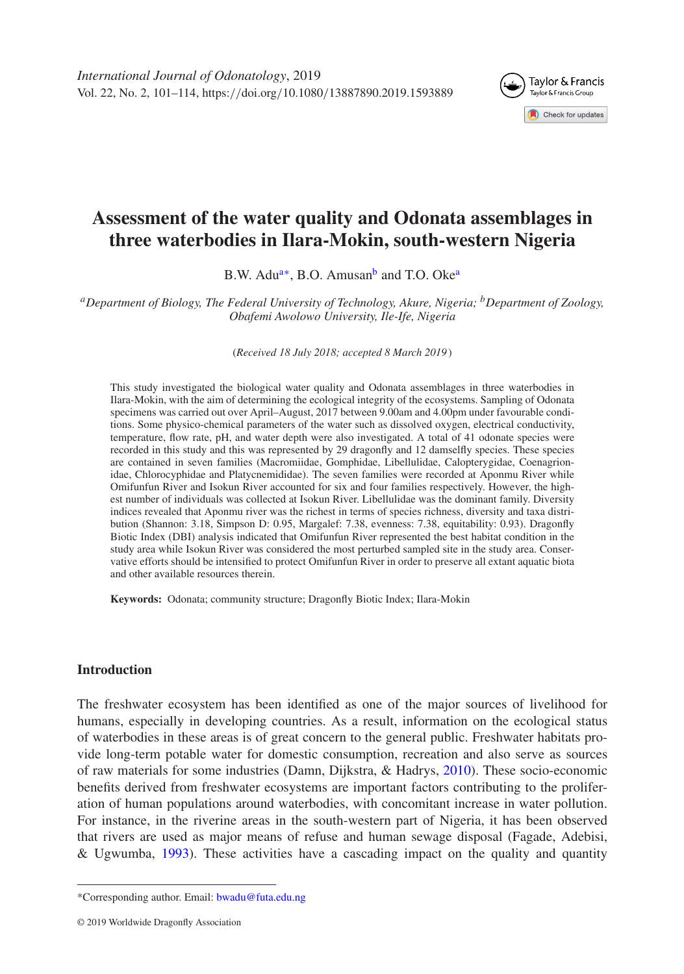<span id="page-0-2"></span>

# **Assessment of the water quality and Odonata assemblages in three waterbodies in Ilara-Mokin, south-western Nigeria**

B.W. Adu<sup>a[∗](#page-0-1)</sup>, B.O. Amusan<sup>b</sup> and T.O. Oke<sup>a</sup>

<span id="page-0-0"></span>*aDepartment of Biology, The Federal University of Technology, Akure, Nigeria; bDepartment of Zoology, Obafemi Awolowo University, Ile-Ife, Nigeria*

(*Received 18 July 2018; accepted 8 March 2019* )

This study investigated the biological water quality and Odonata assemblages in three waterbodies in Ilara-Mokin, with the aim of determining the ecological integrity of the ecosystems. Sampling of Odonata specimens was carried out over April–August, 2017 between 9.00am and 4.00pm under favourable conditions. Some physico-chemical parameters of the water such as dissolved oxygen, electrical conductivity, temperature, flow rate, pH, and water depth were also investigated. A total of 41 odonate species were recorded in this study and this was represented by 29 dragonfly and 12 damselfly species. These species are contained in seven families (Macromiidae, Gomphidae, Libellulidae, Calopterygidae, Coenagrionidae, Chlorocyphidae and Platycnemididae). The seven families were recorded at Aponmu River while Omifunfun River and Isokun River accounted for six and four families respectively. However, the highest number of individuals was collected at Isokun River. Libellulidae was the dominant family. Diversity indices revealed that Aponmu river was the richest in terms of species richness, diversity and taxa distribution (Shannon: 3.18, Simpson D: 0.95, Margalef: 7.38, evenness: 7.38, equitability: 0.93). Dragonfly Biotic Index (DBI) analysis indicated that Omifunfun River represented the best habitat condition in the study area while Isokun River was considered the most perturbed sampled site in the study area. Conservative efforts should be intensified to protect Omifunfun River in order to preserve all extant aquatic biota and other available resources therein.

**Keywords:** Odonata; community structure; Dragonfly Biotic Index; Ilara-Mokin

# **Introduction**

The freshwater ecosystem has been identified as one of the major sources of livelihood for humans, especially in developing countries. As a result, information on the ecological status of waterbodies in these areas is of great concern to the general public. Freshwater habitats provide long-term potable water for domestic consumption, recreation and also serve as sources of raw materials for some industries (Damn, Dijkstra, & Hadrys, [2010\)](#page-12-0). These socio-economic benefits derived from freshwater ecosystems are important factors contributing to the proliferation of human populations around waterbodies, with concomitant increase in water pollution. For instance, in the riverine areas in the south-western part of Nigeria, it has been observed that rivers are used as major means of refuse and human sewage disposal (Fagade, Adebisi, & Ugwumba, [1993\)](#page-12-1). These activities have a cascading impact on the quality and quantity

<span id="page-0-1"></span><sup>\*</sup>Corresponding author. Email: [bwadu@futa.edu.ng](mailto:bwadu@futa.edu.ng)

<sup>© 2019</sup> Worldwide Dragonfly Association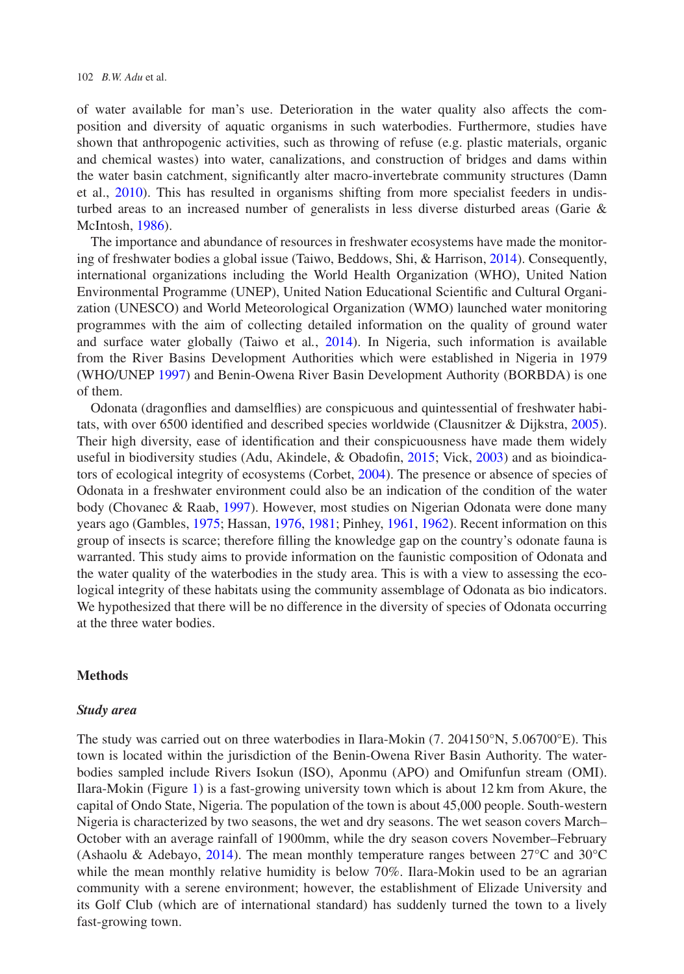of water available for man's use. Deterioration in the water quality also affects the composition and diversity of aquatic organisms in such waterbodies. Furthermore, studies have shown that anthropogenic activities, such as throwing of refuse (e.g. plastic materials, organic and chemical wastes) into water, canalizations, and construction of bridges and dams within the water basin catchment, significantly alter macro-invertebrate community structures (Damn et al., [2010\)](#page-12-0). This has resulted in organisms shifting from more specialist feeders in undisturbed areas to an increased number of generalists in less diverse disturbed areas (Garie & McIntosh, [1986\)](#page-12-2).

The importance and abundance of resources in freshwater ecosystems have made the monitoring of freshwater bodies a global issue (Taiwo, Beddows, Shi, & Harrison, [2014\)](#page-13-0). Consequently, international organizations including the World Health Organization (WHO), United Nation Environmental Programme (UNEP), United Nation Educational Scientific and Cultural Organization (UNESCO) and World Meteorological Organization (WMO) launched water monitoring programmes with the aim of collecting detailed information on the quality of ground water and surface water globally (Taiwo et al*.*, [2014\)](#page-13-0). In Nigeria, such information is available from the River Basins Development Authorities which were established in Nigeria in 1979 (WHO/UNEP [1997\)](#page-13-1) and Benin-Owena River Basin Development Authority (BORBDA) is one of them.

Odonata (dragonflies and damselflies) are conspicuous and quintessential of freshwater habitats, with over 6500 identified and described species worldwide (Clausnitzer & Dijkstra, [2005\)](#page-12-3). Their high diversity, ease of identification and their conspicuousness have made them widely useful in biodiversity studies (Adu, Akindele, & Obadofin, [2015;](#page-12-4) Vick, [2003\)](#page-13-2) and as bioindicators of ecological integrity of ecosystems (Corbet, [2004\)](#page-12-5). The presence or absence of species of Odonata in a freshwater environment could also be an indication of the condition of the water body (Chovanec & Raab, [1997\)](#page-12-6). However, most studies on Nigerian Odonata were done many years ago (Gambles, [1975;](#page-12-7) Hassan, [1976,](#page-12-8) [1981;](#page-13-3) Pinhey, [1961,](#page-13-4) [1962\)](#page-13-5). Recent information on this group of insects is scarce; therefore filling the knowledge gap on the country's odonate fauna is warranted. This study aims to provide information on the faunistic composition of Odonata and the water quality of the waterbodies in the study area. This is with a view to assessing the ecological integrity of these habitats using the community assemblage of Odonata as bio indicators. We hypothesized that there will be no difference in the diversity of species of Odonata occurring at the three water bodies.

# **Methods**

#### *Study area*

The study was carried out on three waterbodies in Ilara-Mokin (7. 204150°N, 5.06700°E). This town is located within the jurisdiction of the Benin-Owena River Basin Authority. The waterbodies sampled include Rivers Isokun (ISO), Aponmu (APO) and Omifunfun stream (OMI). Ilara-Mokin (Figure [1\)](#page-2-0) is a fast-growing university town which is about 12 km from Akure, the capital of Ondo State, Nigeria. The population of the town is about 45,000 people. South-western Nigeria is characterized by two seasons, the wet and dry seasons. The wet season covers March– October with an average rainfall of 1900mm, while the dry season covers November–February (Ashaolu & Adebayo, [2014\)](#page-12-9). The mean monthly temperature ranges between 27°C and 30°C while the mean monthly relative humidity is below 70%. Ilara-Mokin used to be an agrarian community with a serene environment; however, the establishment of Elizade University and its Golf Club (which are of international standard) has suddenly turned the town to a lively fast-growing town.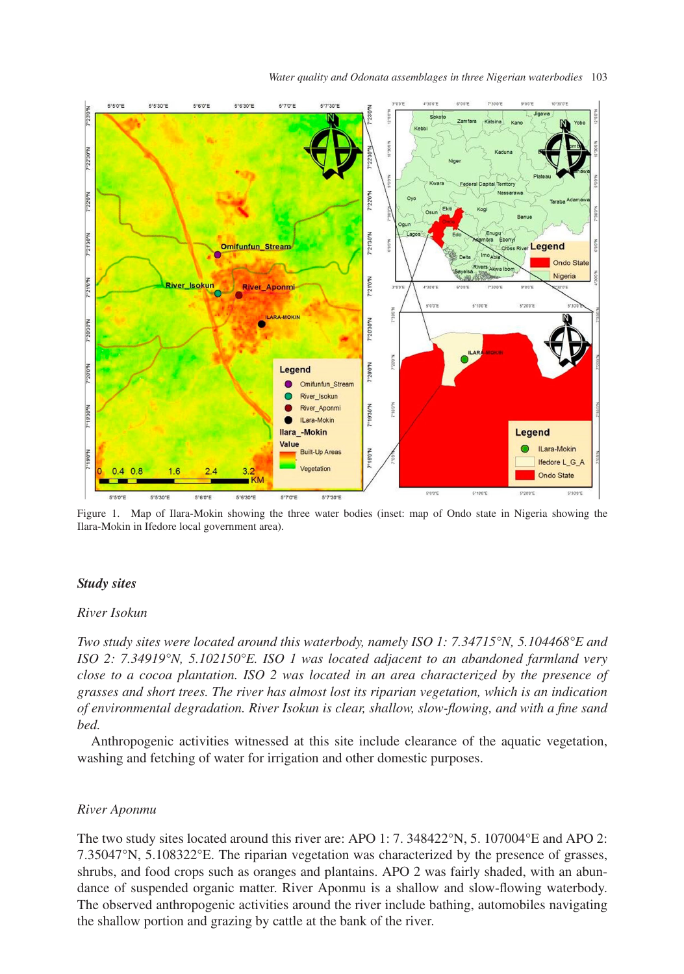*Water quality and Odonata assemblages in three Nigerian waterbodies* 103



<span id="page-2-0"></span>Figure 1. Map of Ilara-Mokin showing the three water bodies (inset: map of Ondo state in Nigeria showing the Ilara-Mokin in Ifedore local government area).

#### *Study sites*

# *River Isokun*

*Two study sites were located around this waterbody, namely ISO 1: 7.34715°N, 5.104468°E and ISO 2: 7.34919°N, 5.102150°E. ISO 1 was located adjacent to an abandoned farmland very close to a cocoa plantation. ISO 2 was located in an area characterized by the presence of grasses and short trees. The river has almost lost its riparian vegetation, which is an indication of environmental degradation. River Isokun is clear, shallow, slow-flowing, and with a fine sand bed.*

Anthropogenic activities witnessed at this site include clearance of the aquatic vegetation, washing and fetching of water for irrigation and other domestic purposes.

## *River Aponmu*

The two study sites located around this river are: APO 1: 7. 348422°N, 5. 107004°E and APO 2: 7.35047°N, 5.108322°E. The riparian vegetation was characterized by the presence of grasses, shrubs, and food crops such as oranges and plantains. APO 2 was fairly shaded, with an abundance of suspended organic matter. River Aponmu is a shallow and slow-flowing waterbody. The observed anthropogenic activities around the river include bathing, automobiles navigating the shallow portion and grazing by cattle at the bank of the river.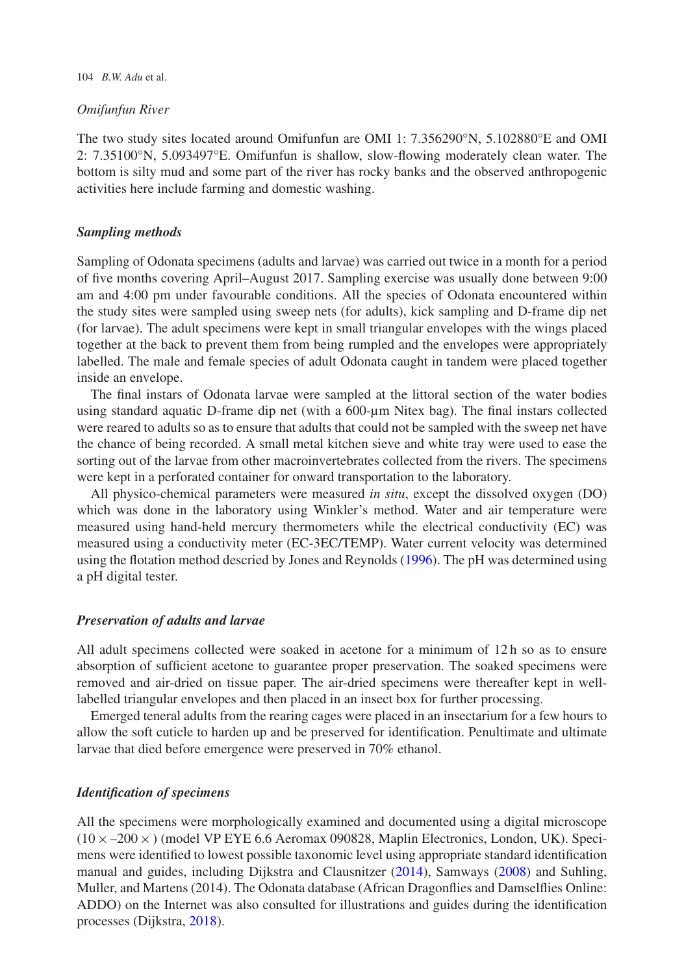## *Omifunfun River*

The two study sites located around Omifunfun are OMI 1: 7.356290°N, 5.102880°E and OMI 2: 7.35100°N, 5.093497°E. Omifunfun is shallow, slow-flowing moderately clean water. The bottom is silty mud and some part of the river has rocky banks and the observed anthropogenic activities here include farming and domestic washing.

# *Sampling methods*

Sampling of Odonata specimens (adults and larvae) was carried out twice in a month for a period of five months covering April–August 2017. Sampling exercise was usually done between 9:00 am and 4:00 pm under favourable conditions. All the species of Odonata encountered within the study sites were sampled using sweep nets (for adults), kick sampling and D-frame dip net (for larvae). The adult specimens were kept in small triangular envelopes with the wings placed together at the back to prevent them from being rumpled and the envelopes were appropriately labelled. The male and female species of adult Odonata caught in tandem were placed together inside an envelope.

The final instars of Odonata larvae were sampled at the littoral section of the water bodies using standard aquatic D-frame dip net (with a 600-µm Nitex bag). The final instars collected were reared to adults so as to ensure that adults that could not be sampled with the sweep net have the chance of being recorded. A small metal kitchen sieve and white tray were used to ease the sorting out of the larvae from other macroinvertebrates collected from the rivers. The specimens were kept in a perforated container for onward transportation to the laboratory.

All physico-chemical parameters were measured *in situ*, except the dissolved oxygen (DO) which was done in the laboratory using Winkler's method. Water and air temperature were measured using hand-held mercury thermometers while the electrical conductivity (EC) was measured using a conductivity meter (EC-3EC/TEMP). Water current velocity was determined using the flotation method descried by Jones and Reynolds [\(1996\)](#page-13-6). The pH was determined using a pH digital tester.

# *Preservation of adults and larvae*

All adult specimens collected were soaked in acetone for a minimum of 12 h so as to ensure absorption of sufficient acetone to guarantee proper preservation. The soaked specimens were removed and air-dried on tissue paper. The air-dried specimens were thereafter kept in welllabelled triangular envelopes and then placed in an insect box for further processing.

Emerged teneral adults from the rearing cages were placed in an insectarium for a few hours to allow the soft cuticle to harden up and be preserved for identification. Penultimate and ultimate larvae that died before emergence were preserved in 70% ethanol.

# *Identification of specimens*

All the specimens were morphologically examined and documented using a digital microscope  $(10 \times -200 \times)$  (model VP EYE 6.6 Aeromax 090828, Maplin Electronics, London, UK). Specimens were identified to lowest possible taxonomic level using appropriate standard identification manual and guides, including Dijkstra and Clausnitzer [\(2014\)](#page-12-10), Samways [\(2008\)](#page-13-7) and Suhling, Muller, and Martens (2014). The Odonata database (African Dragonflies and Damselflies Online: ADDO) on the Internet was also consulted for illustrations and guides during the identification processes (Dijkstra, [2018\)](#page-12-11).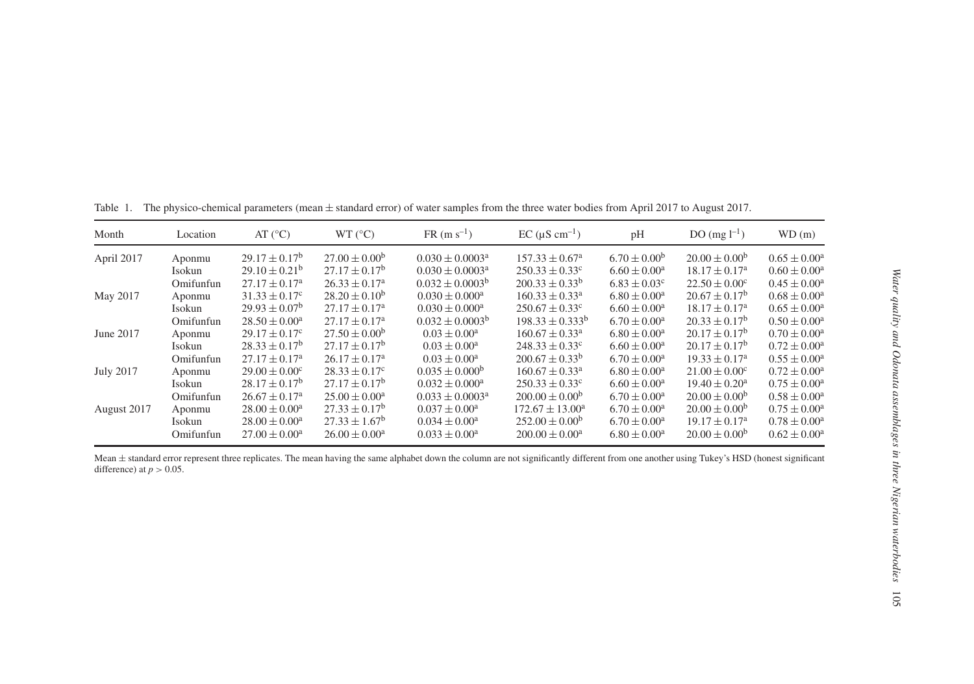| Month            | Location  | AT $(^{\circ}C)$            | WT (°C)                     | $FR (m s^{-1})$      | $EC (\mu S cm^{-1})$           | pH                      | DO $(mg l^{-1})$            | WD(m)                   |
|------------------|-----------|-----------------------------|-----------------------------|----------------------|--------------------------------|-------------------------|-----------------------------|-------------------------|
| April 2017       | Aponmu    | $29.17 \pm 0.17^b$          | $27.00 \pm 0.00^{\circ}$    | $0.030 \pm 0.0003^a$ | $157.33 \pm 0.67^{\circ}$      | $6.70 \pm 0.00^{\rm b}$ | $20.00 \pm 0.00^{\circ}$    | $0.65 \pm 0.00^3$       |
|                  | Isokun    | $29.10 \pm 0.21^{\rm b}$    | $27.17 \pm 0.17^{\rm b}$    | $0.030 \pm 0.0003^a$ | $250.33 \pm 0.33^c$            | $6.60 \pm 0.00^a$       | $18.17 \pm 0.17^{\text{a}}$ | $0.60 \pm 0.00^a$       |
|                  | Omifunfun | $27.17 \pm 0.17^{\text{a}}$ | $26.33 \pm 0.17^{\circ}$    | $0.032 \pm 0.0003^b$ | $200.33 \pm 0.33^b$            | $6.83 \pm 0.03^c$       | $22.50 \pm 0.00^{\circ}$    | $0.45 \pm 0.00^3$       |
| May 2017         | Aponmu    | $31.33 \pm 0.17^c$          | $28.20 \pm 0.10^b$          | $0.030 \pm 0.000^a$  | $160.33 \pm 0.33^a$            | $6.80 \pm 0.00^a$       | $20.67 \pm 0.17^{\rm b}$    | $0.68 \pm 0.00^a$       |
|                  | Isokun    | $29.93 \pm 0.07^b$          | $27.17 \pm 0.17^{\rm a}$    | $0.030 \pm 0.000^a$  | $250.67 \pm 0.33$ <sup>c</sup> | $6.60 \pm 0.00^a$       | $18.17 \pm 0.17^{\circ}$    | $0.65 \pm 0.00^{\circ}$ |
|                  | Omifunfun | $28.50 \pm 0.00^a$          | $27.17 \pm 0.17^{\text{a}}$ | $0.032 \pm 0.0003^b$ | $198.33 \pm 0.333^b$           | $6.70 \pm 0.00^a$       | $20.33 \pm 0.17^b$          | $0.50 \pm 0.00^3$       |
| June 2017        | Aponmu    | $29.17 \pm 0.17^c$          | $27.50 \pm 0.00^{\circ}$    | $0.03 \pm 0.00^a$    | $160.67 \pm 0.33$ <sup>a</sup> | $6.80 \pm 0.00^a$       | $20.17 \pm 0.17^{\rm b}$    | $0.70 \pm 0.00^3$       |
|                  | Isokun    | $28.33 \pm 0.17^b$          | $27.17 \pm 0.17^b$          | $0.03 \pm 0.00^a$    | $248.33 \pm 0.33^c$            | $6.60 \pm 0.00^a$       | $20.17 \pm 0.17^{\rm b}$    | $0.72 \pm 0.00^3$       |
|                  | Omifunfun | $27.17 \pm 0.17^{\text{a}}$ | $26.17 \pm 0.17^a$          | $0.03 \pm 0.00^a$    | $200.67 \pm 0.33^b$            | $6.70 \pm 0.00^a$       | $19.33 \pm 0.17^{\circ}$    | $0.55 \pm 0.00^3$       |
| <b>July 2017</b> | Aponmu    | $29.00 \pm 0.00^{\circ}$    | $28.33 \pm 0.17^c$          | $0.035 \pm 0.000^b$  | $160.67 \pm 0.33$ <sup>a</sup> | $6.80 \pm 0.00^a$       | $21.00 \pm 0.00^{\circ}$    | $0.72 \pm 0.00^3$       |
|                  | Isokun    | $28.17 \pm 0.17^b$          | $27.17 \pm 0.17^{\rm b}$    | $0.032 \pm 0.000^a$  | $250.33 \pm 0.33^c$            | $6.60 \pm 0.00^a$       | $19.40 \pm 0.20^{\circ}$    | $0.75 \pm 0.00^{\circ}$ |
|                  | Omifunfun | $26.67 \pm 0.17^{\circ}$    | $25.00 \pm 0.00^a$          | $0.033 \pm 0.0003^a$ | $200.00 \pm 0.00^{\circ}$      | $6.70 \pm 0.00^a$       | $20.00 \pm 0.00^{\rm b}$    | $0.58 \pm 0.00^3$       |
| August 2017      | Aponmu    | $28.00 \pm 0.00^a$          | $27.33 \pm 0.17^b$          | $0.037 \pm 0.00^a$   | $172.67 \pm 13.00^a$           | $6.70 \pm 0.00^a$       | $20.00 \pm 0.00^{\circ}$    | $0.75 \pm 0.00^3$       |
|                  | Isokun    | $28.00 \pm 0.00^a$          | $27.33 \pm 1.67^b$          | $0.034 \pm 0.00^a$   | $252.00 \pm 0.00^b$            | $6.70 \pm 0.00^a$       | $19.17 \pm 0.17^{\text{a}}$ | $0.78 \pm 0.00^a$       |
|                  | Omifunfun | $27.00 \pm 0.00^a$          | $26.00 \pm 0.00^a$          | $0.033 \pm 0.00^a$   | $200.00 \pm 0.00^a$            | $6.80 \pm 0.00^a$       | $20.00 \pm 0.00^b$          | $0.62 \pm 0.00^3$       |

Table 1. The physico-chemical parameters (mean ± standard error) of water samples from the three water bodies from April 2017 to August 2017.

<span id="page-4-0"></span>Mean  $\pm$  standard error represent three replicates. The mean having the same alphabet down the column are not significantly different from one another using Tukey's HSD (honest significant difference) at  $p > 0.05$ .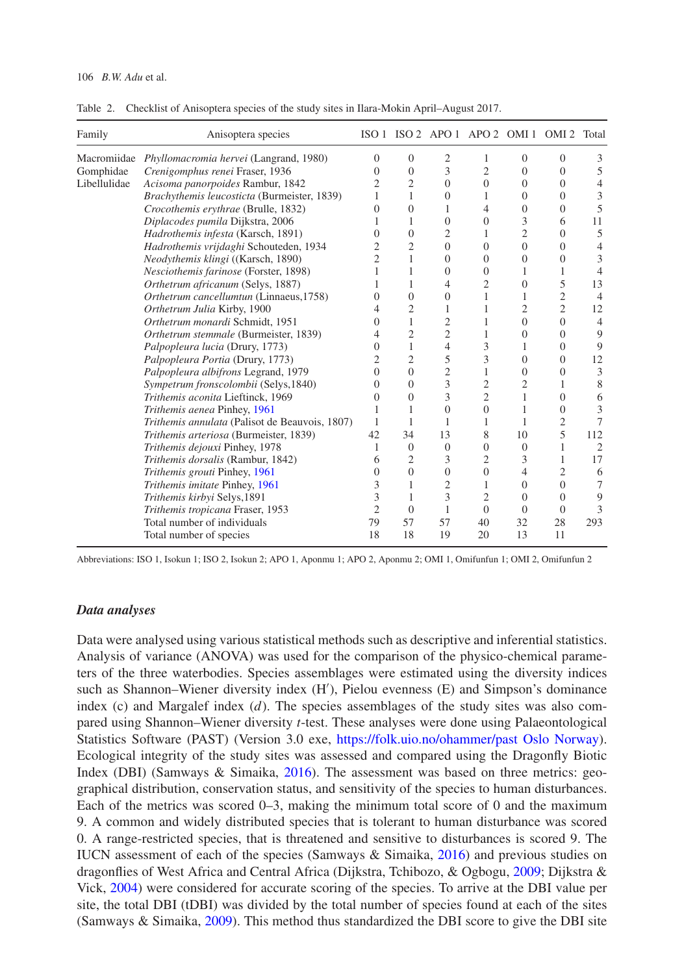| Family       | Anisoptera species                                 |                |                | ISO 1 ISO 2 APO 1 APO 2 OMI 1 OMI 2 Total |                |                  |                |                |
|--------------|----------------------------------------------------|----------------|----------------|-------------------------------------------|----------------|------------------|----------------|----------------|
|              | Macromiidae Phyllomacromia hervei (Langrand, 1980) | $\Omega$       | $\mathbf{0}$   | $\mathfrak{2}$                            | 1              | $\overline{0}$   | $\Omega$       | 3              |
| Gomphidae    | Crenigomphus renei Fraser, 1936                    | $\Omega$       | $\Omega$       | 3                                         | $\overline{c}$ | $\Omega$         | $\Omega$       | 5              |
| Libellulidae | Acisoma panorpoides Rambur, 1842                   | 2              | $\overline{c}$ | $\Omega$                                  | $\Omega$       | $\Omega$         | $\Omega$       | $\overline{4}$ |
|              | Brachythemis leucosticta (Burmeister, 1839)        | 1              | 1              | $\overline{0}$                            | 1              | $\theta$         | $\Omega$       | 3              |
|              | Crocothemis erythrae (Brulle, 1832)                | $\Omega$       | 0              | 1                                         | 4              | $\boldsymbol{0}$ | $\Omega$       | 5              |
|              | Diplacodes pumila Dijkstra, 2006                   | 1              | 1              | $\overline{0}$                            | $\overline{0}$ | 3                | 6              | 11             |
|              | Hadrothemis infesta (Karsch, 1891)                 | $\Omega$       | $\mathbf{0}$   | 2                                         | 1              | $\overline{c}$   | $\Omega$       | 5              |
|              | Hadrothemis vrijdaghi Schouteden, 1934             | 2              | $\overline{c}$ | $\Omega$                                  | $\Omega$       | $\Omega$         | $\Omega$       | 4              |
|              | Neodythemis klingi ((Karsch, 1890)                 | 2              | 1              | $\theta$                                  | $\overline{0}$ | $\overline{0}$   | 0              | 3              |
|              | Nesciothemis farinose (Forster, 1898)              |                | 1              | $\theta$                                  | $\Omega$       | 1                | 1              | $\overline{4}$ |
|              | Orthetrum africanum (Selys, 1887)                  | 1              | 1              | $\overline{4}$                            | $\overline{c}$ | $\Omega$         | 5              | 13             |
|              | Orthetrum cancellumtun (Linnaeus, 1758)            | $\Omega$       | $\Omega$       | $\theta$                                  | 1              | 1                | 2              | $\overline{4}$ |
|              | Orthetrum Julia Kirby, 1900                        | 4              | $\overline{2}$ | 1                                         | 1              | $\overline{c}$   | $\overline{c}$ | 12             |
|              | Orthetrum monardi Schmidt, 1951                    | $\Omega$       | $\mathbf{1}$   | $\overline{2}$                            | 1              | $\overline{0}$   | $\theta$       | $\overline{4}$ |
|              | Orthetrum stemmale (Burmeister, 1839)              | 4              | $\overline{2}$ | 2                                         | 1              | $\overline{0}$   | $\Omega$       | 9              |
|              | Palpopleura lucia (Drury, 1773)                    | $\Omega$       | $\mathbf{1}$   | 4                                         | 3              | 1                | $\Omega$       | 9              |
|              | Palpopleura Portia (Drury, 1773)                   | 2              | $\overline{c}$ | 5                                         | 3              | $\overline{0}$   | $\Omega$       | 12             |
|              | Palpopleura albifrons Legrand, 1979                | $\Omega$       | $\theta$       | $\mathfrak{2}$                            | 1              | $\Omega$         | $\Omega$       | 3              |
|              | Sympetrum fronscolombii (Selys, 1840)              | $\Omega$       | $\Omega$       | 3                                         | 2              | 2                | 1              | 8              |
|              | Trithemis aconita Lieftinck, 1969                  | $\Omega$       | $\Omega$       | 3                                         | $\overline{c}$ | 1                | $\Omega$       | 6              |
|              | Trithemis aenea Pinhey, 1961                       | 1              | 1              | $\overline{0}$                            | $\theta$       | 1                | $\Omega$       | 3              |
|              | Trithemis annulata (Palisot de Beauvois, 1807)     | 1              | 1              | 1                                         | 1              | 1                | 2              | 7              |
|              | Trithemis arteriosa (Burmeister, 1839)             | 42             | 34             | 13                                        | 8              | 10               | 5              | 112            |
|              | Trithemis dejouxi Pinhey, 1978                     | 1              | $\theta$       | $\theta$                                  | $\overline{0}$ | $\theta$         | 1              | $\overline{2}$ |
|              | Trithemis dorsalis (Rambur, 1842)                  | 6              | $\overline{2}$ | 3                                         | $\overline{c}$ | 3                | 1              | 17             |
|              | Trithemis grouti Pinhey, 1961                      | $\Omega$       | $\Omega$       | $\theta$                                  | $\overline{0}$ | $\overline{4}$   | 2              | 6              |
|              | Trithemis imitate Pinhey, 1961                     | 3              | 1              | $\overline{c}$                            | 1              | $\Omega$         | $\Omega$       | 7              |
|              | Trithemis kirbyi Selys, 1891                       | 3              | 1              | 3                                         | $\overline{c}$ | $\Omega$         | $\Omega$       | 9              |
|              | Trithemis tropicana Fraser, 1953                   | $\overline{2}$ | $\Omega$       | 1                                         | $\Omega$       | $\Omega$         | $\theta$       | 3              |
|              | Total number of individuals                        | 79             | 57             | 57                                        | 40             | 32               | 28             | 293            |
|              | Total number of species                            | 18             | 18             | 19                                        | 20             | 13               | 11             |                |

<span id="page-5-0"></span>Table 2. Checklist of Anisoptera species of the study sites in Ilara-Mokin April–August 2017.

Abbreviations: ISO 1, Isokun 1; ISO 2, Isokun 2; APO 1, Aponmu 1; APO 2, Aponmu 2; OMI 1, Omifunfun 1; OMI 2, Omifunfun 2

## *Data analyses*

Data were analysed using various statistical methods such as descriptive and inferential statistics. Analysis of variance (ANOVA) was used for the comparison of the physico-chemical parameters of the three waterbodies. Species assemblages were estimated using the diversity indices such as Shannon–Wiener diversity index (H ), Pielou evenness (E) and Simpson's dominance index (c) and Margalef index (*d*). The species assemblages of the study sites was also compared using Shannon–Wiener diversity *t*-test. These analyses were done using Palaeontological Statistics Software (PAST) (Version 3.0 exe, [https://folk.uio.no/ohammer/past Oslo Norway\)](https://folk.uio.no/ohammer/past Oslo Norway). Ecological integrity of the study sites was assessed and compared using the Dragonfly Biotic Index (DBI) (Samways & Simaika, [2016\)](#page-13-8). The assessment was based on three metrics: geographical distribution, conservation status, and sensitivity of the species to human disturbances. Each of the metrics was scored 0–3, making the minimum total score of 0 and the maximum 9. A common and widely distributed species that is tolerant to human disturbance was scored 0. A range-restricted species, that is threatened and sensitive to disturbances is scored 9. The IUCN assessment of each of the species (Samways & Simaika, [2016\)](#page-13-8) and previous studies on dragonflies of West Africa and Central Africa (Dijkstra, Tchibozo, & Ogbogu, [2009;](#page-12-12) Dijkstra & Vick, [2004\)](#page-12-13) were considered for accurate scoring of the species. To arrive at the DBI value per site, the total DBI (tDBI) was divided by the total number of species found at each of the sites (Samways & Simaika, [2009\)](#page-13-9). This method thus standardized the DBI score to give the DBI site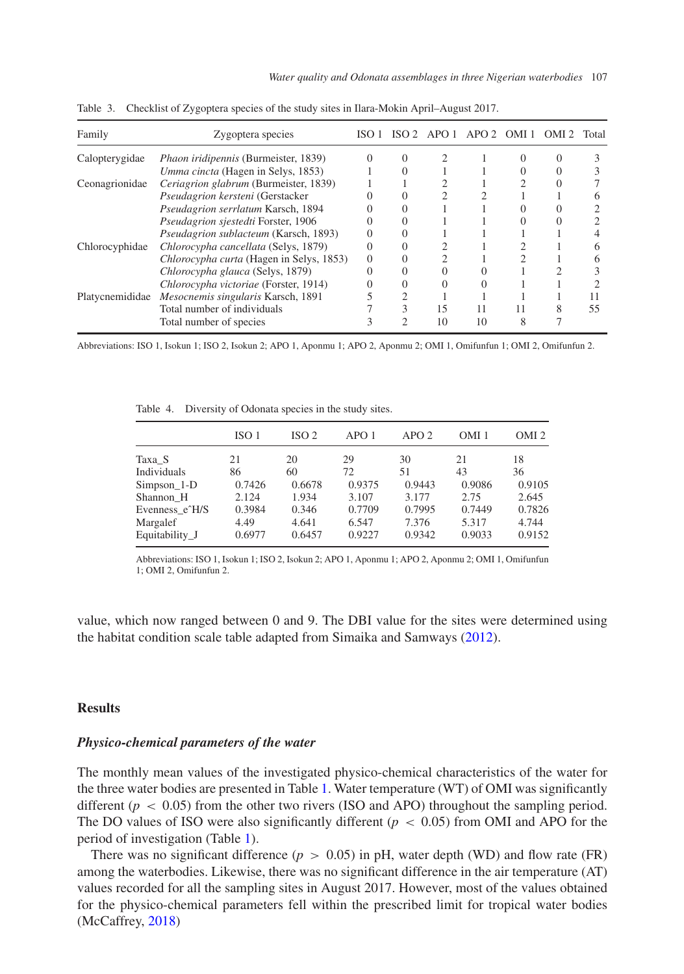<span id="page-6-0"></span>

| Family          | Zygoptera species                           | ISO 1 |                |    | ISO 2 APO 1 APO 2 OMI 1 | OMI <sub>2</sub> | Total |
|-----------------|---------------------------------------------|-------|----------------|----|-------------------------|------------------|-------|
| Calopterygidae  | <i>Phaon iridipennis</i> (Burmeister, 1839) |       |                |    |                         |                  |       |
|                 | Umma cincta (Hagen in Selys, 1853)          |       |                |    |                         |                  |       |
| Ceonagrionidae  | Ceriagrion glabrum (Burmeister, 1839)       |       |                |    |                         |                  |       |
|                 | Pseudagrion kersteni (Gerstacker            |       |                |    |                         |                  |       |
|                 | Pseudagrion serrlatum Karsch, 1894          |       |                |    |                         |                  |       |
|                 | Pseudagrion sjestedti Forster, 1906         |       |                |    |                         |                  |       |
|                 | Pseudagrion sublacteum (Karsch, 1893)       |       |                |    |                         |                  |       |
| Chlorocyphidae  | Chlorocypha cancellata (Selys, 1879)        |       |                |    |                         |                  |       |
|                 | Chlorocypha curta (Hagen in Selys, 1853)    |       |                |    |                         |                  |       |
|                 | Chlorocypha glauca (Selys, 1879)            |       |                |    |                         |                  |       |
|                 | Chlorocypha victoriae (Forster, 1914)       |       |                |    |                         |                  |       |
| Platycnemididae | Mesocnemis singularis Karsch, 1891          |       |                |    |                         |                  |       |
|                 | Total number of individuals                 |       |                | 15 |                         |                  | 55    |
|                 | Total number of species                     |       | $\mathfrak{D}$ | 10 | 10                      |                  |       |

Table 3. Checklist of Zygoptera species of the study sites in Ilara-Mokin April–August 2017.

Abbreviations: ISO 1, Isokun 1; ISO 2, Isokun 2; APO 1, Aponmu 1; APO 2, Aponmu 2; OMI 1, Omifunfun 1; OMI 2, Omifunfun 2.

Table 4. Diversity of Odonata species in the study sites.

<span id="page-6-1"></span>

|                | ISO <sub>1</sub> | ISO <sub>2</sub> | APO1   | APO2   | OMI <sub>1</sub> | OMI <sub>2</sub> |
|----------------|------------------|------------------|--------|--------|------------------|------------------|
| Taxa S         | 21               | 20               | 29     | 30     | 21               | 18               |
| Individuals    | 86               | 60               | 72     | 51     | 43               | 36               |
| $Simpson_1-D$  | 0.7426           | 0.6678           | 0.9375 | 0.9443 | 0.9086           | 0.9105           |
| Shannon H      | 2.124            | 1.934            | 3.107  | 3.177  | 2.75             | 2.645            |
| Evenness e^H/S | 0.3984           | 0.346            | 0.7709 | 0.7995 | 0.7449           | 0.7826           |
| Margalef       | 4.49             | 4.641            | 6.547  | 7.376  | 5.317            | 4.744            |
| Equitability J | 0.6977           | 0.6457           | 0.9227 | 0.9342 | 0.9033           | 0.9152           |

Abbreviations: ISO 1, Isokun 1; ISO 2, Isokun 2; APO 1, Aponmu 1; APO 2, Aponmu 2; OMI 1, Omifunfun 1; OMI 2, Omifunfun 2.

value, which now ranged between 0 and 9. The DBI value for the sites were determined using the habitat condition scale table adapted from Simaika and Samways [\(2012\)](#page-13-10).

# **Results**

#### *Physico-chemical parameters of the water*

The monthly mean values of the investigated physico-chemical characteristics of the water for the three water bodies are presented in Table [1.](#page-4-0) Water temperature (WT) of OMI was significantly different  $(p < 0.05)$  from the other two rivers (ISO and APO) throughout the sampling period. The DO values of ISO were also significantly different ( $p < 0.05$ ) from OMI and APO for the period of investigation (Table [1\)](#page-4-0).

There was no significant difference ( $p > 0.05$ ) in pH, water depth (WD) and flow rate (FR) among the waterbodies. Likewise, there was no significant difference in the air temperature (AT) values recorded for all the sampling sites in August 2017. However, most of the values obtained for the physico-chemical parameters fell within the prescribed limit for tropical water bodies (McCaffrey, [2018\)](#page-13-11)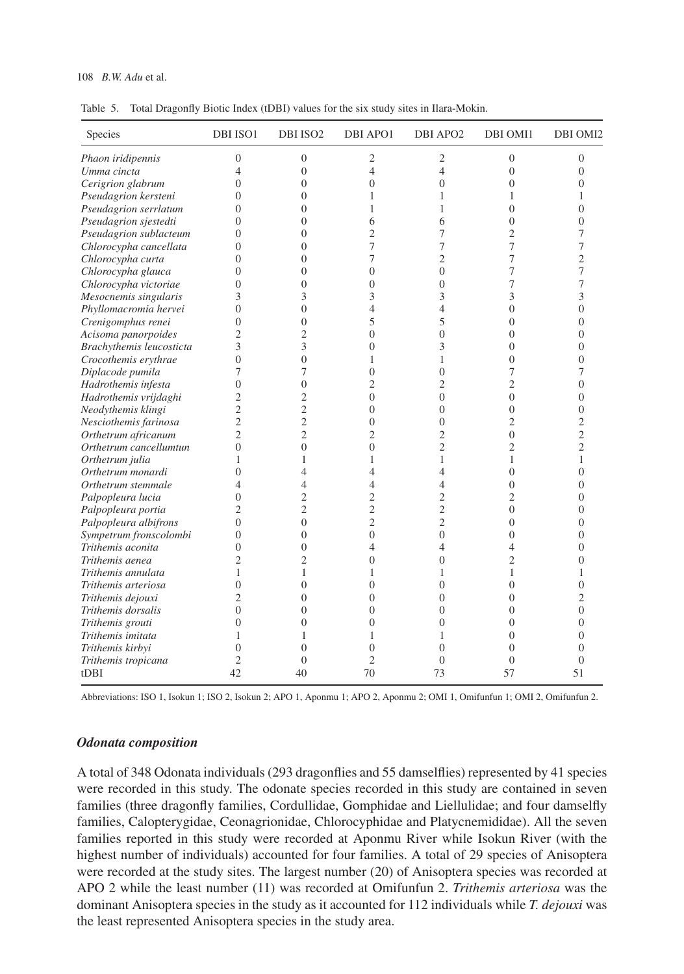#### 108 *B.W. Adu* et al.

<span id="page-7-0"></span>Table 5. Total Dragonfly Biotic Index (tDBI) values for the six study sites in Ilara-Mokin.

| Species                  | DBI ISO1       | DBI ISO <sub>2</sub> | <b>DBI APO1</b> | DBI APO <sub>2</sub> | DBI OMI1       | DBI OMI2       |
|--------------------------|----------------|----------------------|-----------------|----------------------|----------------|----------------|
| Phaon iridipennis        | $\overline{0}$ | $\boldsymbol{0}$     | $\mathfrak{2}$  | $\mathfrak{2}$       | $\overline{0}$ | $\mathbf{0}$   |
| Umma cincta              | 4              | $\theta$             | $\overline{4}$  | $\overline{4}$       | $\theta$       | $\Omega$       |
| Cerigrion glabrum        | 0              | $\overline{0}$       | $\overline{0}$  | $\overline{0}$       | $\mathbf{0}$   | $\overline{0}$ |
| Pseudagrion kersteni     | 0              | $\overline{0}$       | 1               | 1                    | 1              | 1              |
| Pseudagrion serrlatum    | $\theta$       | $\overline{0}$       | 1               | 1                    | $\theta$       | $\overline{0}$ |
| Pseudagrion sjestedti    | $\Omega$       | $\theta$             | 6               | 6                    | $\theta$       | $\theta$       |
| Pseudagrion sublacteum   | $\theta$       | $\overline{0}$       | $\overline{c}$  | 7                    | $\overline{2}$ | 7              |
| Chlorocypha cancellata   | 0              | $\theta$             | 7               | 7                    | 7              | 7              |
| Chlorocypha curta        | $\theta$       | $\overline{0}$       | 7               | $\overline{c}$       | 7              | $\overline{c}$ |
| Chlorocypha glauca       | $\theta$       | $\overline{0}$       | $\overline{0}$  | $\overline{0}$       | 7              | 7              |
| Chlorocypha victoriae    | $\overline{0}$ | $\overline{0}$       | $\overline{0}$  | $\theta$             | 7              | 7              |
| Mesocnemis singularis    | 3              | 3                    | 3               | 3                    | 3              | 3              |
| Phyllomacromia hervei    | $\theta$       | $\overline{0}$       | $\overline{4}$  | $\overline{4}$       | $\overline{0}$ | $\overline{0}$ |
| Crenigomphus renei       | $\theta$       | $\overline{0}$       | 5               | 5                    | $\Omega$       | $\overline{0}$ |
| Acisoma panorpoides      | $\overline{c}$ | $\overline{2}$       | $\overline{0}$  | $\overline{0}$       | $\mathbf{0}$   | $\overline{0}$ |
| Brachythemis leucosticta | 3              | 3                    | $\theta$        | 3                    | $\Omega$       | $\overline{0}$ |
| Crocothemis erythrae     | $\theta$       | $\overline{0}$       | 1               | 1                    | $\theta$       | $\overline{0}$ |
| Diplacode pumila         | 7              | 7                    | $\theta$        | $\overline{0}$       | 7              | 7              |
| Hadrothemis infesta      | $\theta$       | $\overline{0}$       | $\overline{c}$  | $\overline{2}$       | $\overline{2}$ | $\overline{0}$ |
| Hadrothemis vrijdaghi    | $\overline{c}$ | $\overline{c}$       | $\theta$        | $\theta$             | $\Omega$       | $\overline{0}$ |
| Neodythemis klingi       | $\overline{2}$ | $\overline{2}$       | $\theta$        | $\overline{0}$       | $\overline{0}$ | $\overline{0}$ |
| Nesciothemis farinosa    | $\overline{2}$ | $\overline{c}$       | $\overline{0}$  | $\overline{0}$       | $\overline{2}$ | $\overline{2}$ |
| Orthetrum africanum      | $\overline{c}$ | $\overline{2}$       | $\overline{c}$  | $\overline{c}$       | $\theta$       | $\overline{c}$ |
| Orthetrum cancellumtun   | $\theta$       | $\overline{0}$       | $\theta$        | $\overline{2}$       | $\overline{2}$ | $\overline{c}$ |
| Orthetrum julia          | 1              | $\mathbf{1}$         | $\mathbf{1}$    | $\mathbf{1}$         | 1              | 1              |
| Orthetrum monardi        | $\theta$       | $\overline{4}$       | 4               | 4                    | $\theta$       | $\theta$       |
| Orthetrum stemmale       | 4              | $\overline{4}$       | $\overline{4}$  | 4                    | $\overline{0}$ | $\overline{0}$ |
| Palpopleura lucia        | $\theta$       | $\overline{2}$       | $\overline{2}$  | $\overline{c}$       | $\overline{2}$ | $\overline{0}$ |
| Palpopleura portia       | $\overline{c}$ | $\overline{c}$       | $\overline{c}$  | $\overline{c}$       | $\theta$       | $\theta$       |
| Palpopleura albifrons    | $\theta$       | $\overline{0}$       | $\overline{c}$  | $\overline{c}$       | $\Omega$       | $\overline{0}$ |
| Sympetrum fronscolombi   | $\overline{0}$ | $\overline{0}$       | $\overline{0}$  | $\overline{0}$       | $\overline{0}$ | $\overline{0}$ |
| Trithemis aconita        | $\theta$       | $\overline{0}$       | 4               | 4                    | 4              | $\overline{0}$ |
| Trithemis aenea          | $\overline{2}$ | $\overline{2}$       | $\overline{0}$  | $\overline{0}$       | $\overline{2}$ | $\overline{0}$ |
| Trithemis annulata       | 1              | 1                    | 1               | 1                    | 1              | 1              |
| Trithemis arteriosa      | $\theta$       | $\theta$             | $\theta$        | $\theta$             | $\theta$       | $\theta$       |
| Trithemis dejouxi        | $\overline{2}$ | $\overline{0}$       | $\theta$        | $\overline{0}$       | $\Omega$       | $\overline{2}$ |
| Trithemis dorsalis       | $\theta$       | $\overline{0}$       | $\theta$        | $\theta$             | $\Omega$       | $\overline{0}$ |
| Trithemis grouti         | $\theta$       | $\overline{0}$       | $\theta$        | $\theta$             | $\theta$       | $\overline{0}$ |
| Trithemis imitata        |                | 1                    | 1               | 1                    | $\theta$       | $\Omega$       |
| Trithemis kirbyi         | $\Omega$       | $\Omega$             | $\theta$        | $\theta$             | $\Omega$       | $\Omega$       |
| Trithemis tropicana      | 2              | $\Omega$             | $\overline{c}$  | $\theta$             | $\Omega$       | $\theta$       |
| tDBI                     | 42             | 40                   | 70              | 73                   | 57             | 51             |

Abbreviations: ISO 1, Isokun 1; ISO 2, Isokun 2; APO 1, Aponmu 1; APO 2, Aponmu 2; OMI 1, Omifunfun 1; OMI 2, Omifunfun 2.

## *Odonata composition*

A total of 348 Odonata individuals (293 dragonflies and 55 damselflies) represented by 41 species were recorded in this study. The odonate species recorded in this study are contained in seven families (three dragonfly families, Cordullidae, Gomphidae and Liellulidae; and four damselfly families, Calopterygidae, Ceonagrionidae, Chlorocyphidae and Platycnemididae). All the seven families reported in this study were recorded at Aponmu River while Isokun River (with the highest number of individuals) accounted for four families. A total of 29 species of Anisoptera were recorded at the study sites. The largest number (20) of Anisoptera species was recorded at APO 2 while the least number (11) was recorded at Omifunfun 2. *Trithemis arteriosa* was the dominant Anisoptera species in the study as it accounted for 112 individuals while *T. dejouxi* was the least represented Anisoptera species in the study area.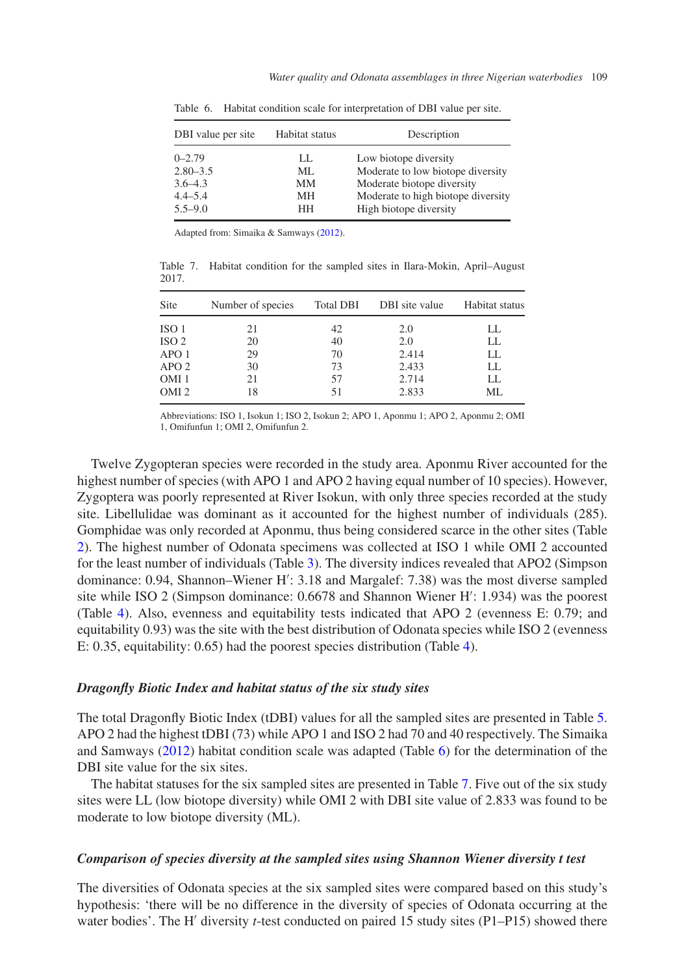| DBI value per site                                       | Habitat status        | Description                                                                                                                    |
|----------------------------------------------------------|-----------------------|--------------------------------------------------------------------------------------------------------------------------------|
| $0 - 2.79$<br>$2.80 - 3.5$<br>$3.6 - 4.3$<br>$4.4 - 5.4$ | LL.<br>ML<br>MМ<br>MН | Low biotope diversity<br>Moderate to low biotope diversity<br>Moderate biotope diversity<br>Moderate to high biotope diversity |
| $5.5 - 9.0$                                              | HН                    | High biotope diversity                                                                                                         |

<span id="page-8-0"></span>Table 6. Habitat condition scale for interpretation of DBI value per site.

Adapted from: Simaika & Samways [\(2012\)](#page-13-10).

<span id="page-8-1"></span>Table 7. Habitat condition for the sampled sites in Ilara-Mokin, April–August 2017.

| Site             | Number of species | <b>Total DBI</b> | DBI site value | Habitat status |
|------------------|-------------------|------------------|----------------|----------------|
| ISO <sub>1</sub> | 21                | 42               | 2.0            | LL.            |
| ISO <sub>2</sub> | 20                | 40               | 2.0            | LL             |
| APO 1            | 29                | 70               | 2.414          | LL             |
| APO <sub>2</sub> | 30                | 73               | 2.433          | LL.            |
| OMI <sub>1</sub> | 21                | 57               | 2.714          | LL.            |
| OMI <sub>2</sub> | 18                | 51               | 2.833          | МL             |

Abbreviations: ISO 1, Isokun 1; ISO 2, Isokun 2; APO 1, Aponmu 1; APO 2, Aponmu 2; OMI 1, Omifunfun 1; OMI 2, Omifunfun 2.

Twelve Zygopteran species were recorded in the study area. Aponmu River accounted for the highest number of species (with APO 1 and APO 2 having equal number of 10 species). However, Zygoptera was poorly represented at River Isokun, with only three species recorded at the study site. Libellulidae was dominant as it accounted for the highest number of individuals (285). Gomphidae was only recorded at Aponmu, thus being considered scarce in the other sites (Table [2\)](#page-5-0). The highest number of Odonata specimens was collected at ISO 1 while OMI 2 accounted for the least number of individuals (Table [3\)](#page-6-0). The diversity indices revealed that APO2 (Simpson dominance: 0.94, Shannon–Wiener H : 3.18 and Margalef: 7.38) was the most diverse sampled site while ISO 2 (Simpson dominance: 0.6678 and Shannon Wiener H': 1.934) was the poorest (Table [4\)](#page-6-1). Also, evenness and equitability tests indicated that APO 2 (evenness E: 0.79; and equitability 0.93) was the site with the best distribution of Odonata species while ISO 2 (evenness E: 0.35, equitability: 0.65) had the poorest species distribution (Table [4\)](#page-6-1).

#### *Dragonfly Biotic Index and habitat status of the six study sites*

The total Dragonfly Biotic Index (tDBI) values for all the sampled sites are presented in Table [5.](#page-7-0) APO 2 had the highest tDBI (73) while APO 1 and ISO 2 had 70 and 40 respectively. The Simaika and Samways [\(2012\)](#page-13-10) habitat condition scale was adapted (Table [6\)](#page-8-0) for the determination of the DBI site value for the six sites.

The habitat statuses for the six sampled sites are presented in Table [7.](#page-8-1) Five out of the six study sites were LL (low biotope diversity) while OMI 2 with DBI site value of 2.833 was found to be moderate to low biotope diversity (ML).

## *Comparison of species diversity at the sampled sites using Shannon Wiener diversity t test*

The diversities of Odonata species at the six sampled sites were compared based on this study's hypothesis: 'there will be no difference in the diversity of species of Odonata occurring at the water bodies'. The H' diversity *t*-test conducted on paired 15 study sites (P1–P15) showed there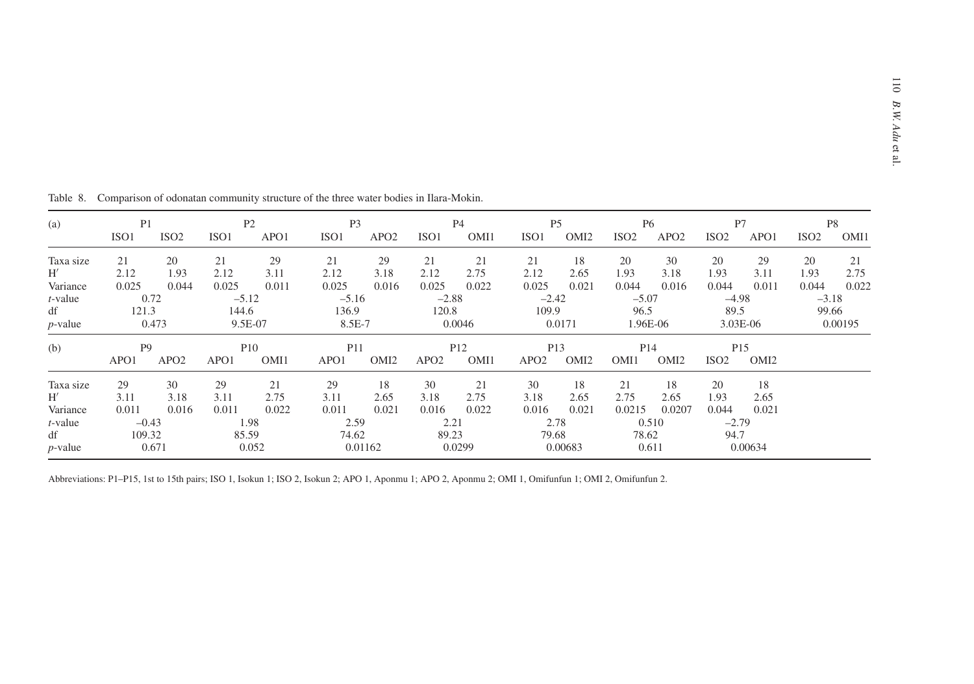| (a)              | P <sub>1</sub><br>ISO <sub>1</sub> | ISO <sub>2</sub> | ISO <sub>1</sub> | P2<br>APO1         | P <sub>3</sub><br>ISO <sub>1</sub> | APO <sub>2</sub> | ISO <sub>1</sub> | P4<br>OMI1              | ISO <sub>1</sub> | P <sub>5</sub><br>OMI <sub>2</sub>  | ISO <sub>2</sub> | <b>P6</b><br>APO <sub>2</sub>       | P7<br>ISO <sub>2</sub> | APO1                                | ISO <sub>2</sub> | P8<br>OMI1 |
|------------------|------------------------------------|------------------|------------------|--------------------|------------------------------------|------------------|------------------|-------------------------|------------------|-------------------------------------|------------------|-------------------------------------|------------------------|-------------------------------------|------------------|------------|
|                  |                                    |                  |                  |                    |                                    |                  |                  |                         |                  |                                     |                  |                                     |                        |                                     |                  |            |
| Taxa size<br>H'  | 21<br>2.12                         | 20<br>1.93       | 21<br>2.12       | 29<br>3.11         | 21<br>2.12                         | 29<br>3.18       | 21<br>2.12       | 21<br>2.75              | 21<br>2.12       | 18<br>2.65                          | 20<br>1.93       | 30<br>3.18                          | 20<br>1.93             | 29<br>3.11                          | 20<br>1.93       | 21<br>2.75 |
| Variance         | 0.025                              | 0.044            | 0.025            | 0.011              | 0.025                              | 0.016            | 0.025            | 0.022                   | 0.025            | 0.021                               | 0.044            | 0.016                               | 0.044                  | 0.011                               | 0.044            | 0.022      |
| $t$ -value       |                                    | 0.72             | $-5.12$          |                    | $-5.16$                            |                  | $-2.88$          |                         | $-2.42$          |                                     | $-5.07$          |                                     | $-4.98$                |                                     | $-3.18$          |            |
| df<br>$p$ -value | 121.3                              | 0.473            | 144.6            | 9.5E-07            | 136.9<br>8.5E-7                    |                  | 120.8            | 0.0046                  | 109.9            | 0.0171                              | 96.5             | 1.96E-06                            | 89.5                   | $3.03E-06$                          | 99.66            | 0.00195    |
| (b)              | P <sub>9</sub><br>APO1             | APO <sub>2</sub> | APO1             | <b>P10</b><br>OMI1 | P <sub>11</sub><br>APO1            | OMI <sub>2</sub> | APO <sub>2</sub> | P <sub>12</sub><br>OMI1 | APO <sub>2</sub> | P <sub>13</sub><br>OMI <sub>2</sub> | OMI1             | P <sub>14</sub><br>OMI <sub>2</sub> | ISO <sub>2</sub>       | P <sub>15</sub><br>OMI <sub>2</sub> |                  |            |
| Taxa size        | 29                                 | 30               | 29               | 21                 | 29                                 | 18               | 30               | 21                      | 30               | 18                                  | 21               | 18                                  | 20                     | 18                                  |                  |            |
| H'               | 3.11                               | 3.18             | 3.11             | 2.75               | 3.11                               | 2.65             | 3.18             | 2.75                    | 3.18             | 2.65                                | 2.75             | 2.65                                | 1.93                   | 2.65                                |                  |            |
| Variance         | 0.011                              | 0.016            | 0.011            | 0.022              | 0.011                              | 0.021            | 0.016            | 0.022                   | 0.016            | 0.021                               | 0.0215           | 0.0207                              | 0.044                  | 0.021                               |                  |            |
| $t$ -value       |                                    | $-0.43$          |                  | 1.98               | 2.59                               |                  | 2.21             |                         |                  | 2.78                                |                  | 0.510                               | $-2.79$                |                                     |                  |            |
| df               | 109.32                             |                  | 85.59            |                    | 74.62                              |                  | 89.23            |                         |                  | 79.68                               | 78.62            |                                     | 94.7                   |                                     |                  |            |
| $p$ -value       |                                    | 0.671            |                  | 0.052              |                                    | 0.01162          |                  | 0.0299                  |                  | 0.00683                             |                  | 0.611                               |                        | 0.00634                             |                  |            |

Table 8. Comparison of odonatan community structure of the three water bodies in Ilara-Mokin.

<span id="page-9-0"></span>Abbreviations: P1–P15, 1st to 15th pairs; ISO 1, Isokun 1; ISO 2, Isokun 2; APO 1, Aponmu 1; APO 2, Aponmu 2; OMI 1, Omifunfun 1; OMI 2, Omifunfun 2.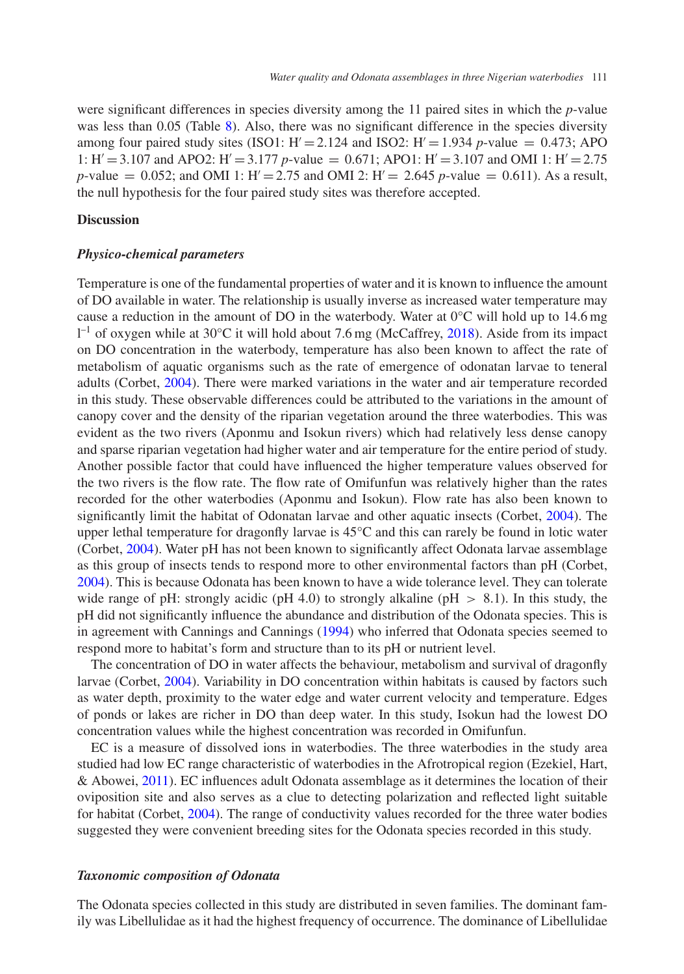were significant differences in species diversity among the 11 paired sites in which the *p*-value was less than 0.05 (Table [8\)](#page-9-0). Also, there was no significant difference in the species diversity among four paired study sites (ISO1:  $H' = 2.124$  and ISO2:  $H' = 1.934$  *p*-value = 0.473; APO 1:  $H' = 3.107$  and APO2:  $H' = 3.177$  *p*-value = 0.671; APO1:  $H' = 3.107$  and OMI 1:  $H' = 2.75$ *p*-value = 0.052; and OMI 1:  $H' = 2.75$  and OMI 2:  $H' = 2.645$  *p*-value = 0.611). As a result, the null hypothesis for the four paired study sites was therefore accepted.

## **Discussion**

## *Physico-chemical parameters*

Temperature is one of the fundamental properties of water and it is known to influence the amount of DO available in water. The relationship is usually inverse as increased water temperature may cause a reduction in the amount of DO in the waterbody. Water at  $0^{\circ}$ C will hold up to 14.6 mg 1<sup>-1</sup> of oxygen while at 30°C it will hold about 7.6 mg (McCaffrey, [2018\)](#page-13-11). Aside from its impact on DO concentration in the waterbody, temperature has also been known to affect the rate of metabolism of aquatic organisms such as the rate of emergence of odonatan larvae to teneral adults (Corbet, [2004\)](#page-12-5). There were marked variations in the water and air temperature recorded in this study. These observable differences could be attributed to the variations in the amount of canopy cover and the density of the riparian vegetation around the three waterbodies. This was evident as the two rivers (Aponmu and Isokun rivers) which had relatively less dense canopy and sparse riparian vegetation had higher water and air temperature for the entire period of study. Another possible factor that could have influenced the higher temperature values observed for the two rivers is the flow rate. The flow rate of Omifunfun was relatively higher than the rates recorded for the other waterbodies (Aponmu and Isokun). Flow rate has also been known to significantly limit the habitat of Odonatan larvae and other aquatic insects (Corbet, [2004\)](#page-12-5). The upper lethal temperature for dragonfly larvae is 45°C and this can rarely be found in lotic water (Corbet, [2004\)](#page-12-5). Water pH has not been known to significantly affect Odonata larvae assemblage as this group of insects tends to respond more to other environmental factors than pH (Corbet, [2004\)](#page-12-5). This is because Odonata has been known to have a wide tolerance level. They can tolerate wide range of pH: strongly acidic (pH 4.0) to strongly alkaline (pH *>* 8.1). In this study, the pH did not significantly influence the abundance and distribution of the Odonata species. This is in agreement with Cannings and Cannings [\(1994\)](#page-12-14) who inferred that Odonata species seemed to respond more to habitat's form and structure than to its pH or nutrient level.

The concentration of DO in water affects the behaviour, metabolism and survival of dragonfly larvae (Corbet, [2004\)](#page-12-5). Variability in DO concentration within habitats is caused by factors such as water depth, proximity to the water edge and water current velocity and temperature. Edges of ponds or lakes are richer in DO than deep water. In this study, Isokun had the lowest DO concentration values while the highest concentration was recorded in Omifunfun.

EC is a measure of dissolved ions in waterbodies. The three waterbodies in the study area studied had low EC range characteristic of waterbodies in the Afrotropical region (Ezekiel, Hart, & Abowei, [2011\)](#page-12-15). EC influences adult Odonata assemblage as it determines the location of their oviposition site and also serves as a clue to detecting polarization and reflected light suitable for habitat (Corbet, [2004\)](#page-12-5). The range of conductivity values recorded for the three water bodies suggested they were convenient breeding sites for the Odonata species recorded in this study.

## *Taxonomic composition of Odonata*

The Odonata species collected in this study are distributed in seven families. The dominant family was Libellulidae as it had the highest frequency of occurrence. The dominance of Libellulidae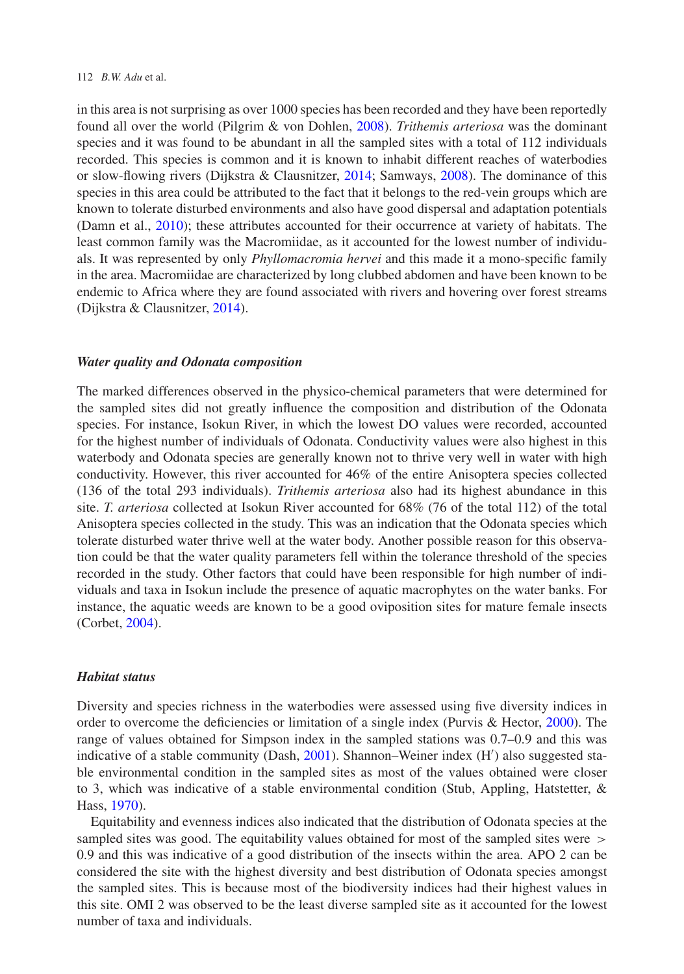#### 112 *B.W. Adu* et al.

in this area is not surprising as over 1000 species has been recorded and they have been reportedly found all over the world (Pilgrim & von Dohlen, [2008\)](#page-13-12). *Trithemis arteriosa* was the dominant species and it was found to be abundant in all the sampled sites with a total of 112 individuals recorded. This species is common and it is known to inhabit different reaches of waterbodies or slow-flowing rivers (Dijkstra & Clausnitzer, [2014;](#page-12-10) Samways, [2008\)](#page-13-7). The dominance of this species in this area could be attributed to the fact that it belongs to the red-vein groups which are known to tolerate disturbed environments and also have good dispersal and adaptation potentials (Damn et al., [2010\)](#page-12-0); these attributes accounted for their occurrence at variety of habitats. The least common family was the Macromiidae, as it accounted for the lowest number of individuals. It was represented by only *Phyllomacromia hervei* and this made it a mono-specific family in the area. Macromiidae are characterized by long clubbed abdomen and have been known to be endemic to Africa where they are found associated with rivers and hovering over forest streams (Dijkstra & Clausnitzer, [2014\)](#page-12-10).

#### *Water quality and Odonata composition*

The marked differences observed in the physico-chemical parameters that were determined for the sampled sites did not greatly influence the composition and distribution of the Odonata species. For instance, Isokun River, in which the lowest DO values were recorded, accounted for the highest number of individuals of Odonata. Conductivity values were also highest in this waterbody and Odonata species are generally known not to thrive very well in water with high conductivity. However, this river accounted for 46% of the entire Anisoptera species collected (136 of the total 293 individuals). *Trithemis arteriosa* also had its highest abundance in this site. *T. arteriosa* collected at Isokun River accounted for 68% (76 of the total 112) of the total Anisoptera species collected in the study. This was an indication that the Odonata species which tolerate disturbed water thrive well at the water body. Another possible reason for this observation could be that the water quality parameters fell within the tolerance threshold of the species recorded in the study. Other factors that could have been responsible for high number of individuals and taxa in Isokun include the presence of aquatic macrophytes on the water banks. For instance, the aquatic weeds are known to be a good oviposition sites for mature female insects (Corbet, [2004\)](#page-12-5).

## *Habitat status*

Diversity and species richness in the waterbodies were assessed using five diversity indices in order to overcome the deficiencies or limitation of a single index (Purvis & Hector, [2000\)](#page-13-13). The range of values obtained for Simpson index in the sampled stations was 0.7–0.9 and this was indicative of a stable community (Dash, [2001\)](#page-12-16). Shannon–Weiner index (H') also suggested stable environmental condition in the sampled sites as most of the values obtained were closer to 3, which was indicative of a stable environmental condition (Stub, Appling, Hatstetter, & Hass, [1970\)](#page-13-14).

Equitability and evenness indices also indicated that the distribution of Odonata species at the sampled sites was good. The equitability values obtained for most of the sampled sites were *>* 0.9 and this was indicative of a good distribution of the insects within the area. APO 2 can be considered the site with the highest diversity and best distribution of Odonata species amongst the sampled sites. This is because most of the biodiversity indices had their highest values in this site. OMI 2 was observed to be the least diverse sampled site as it accounted for the lowest number of taxa and individuals.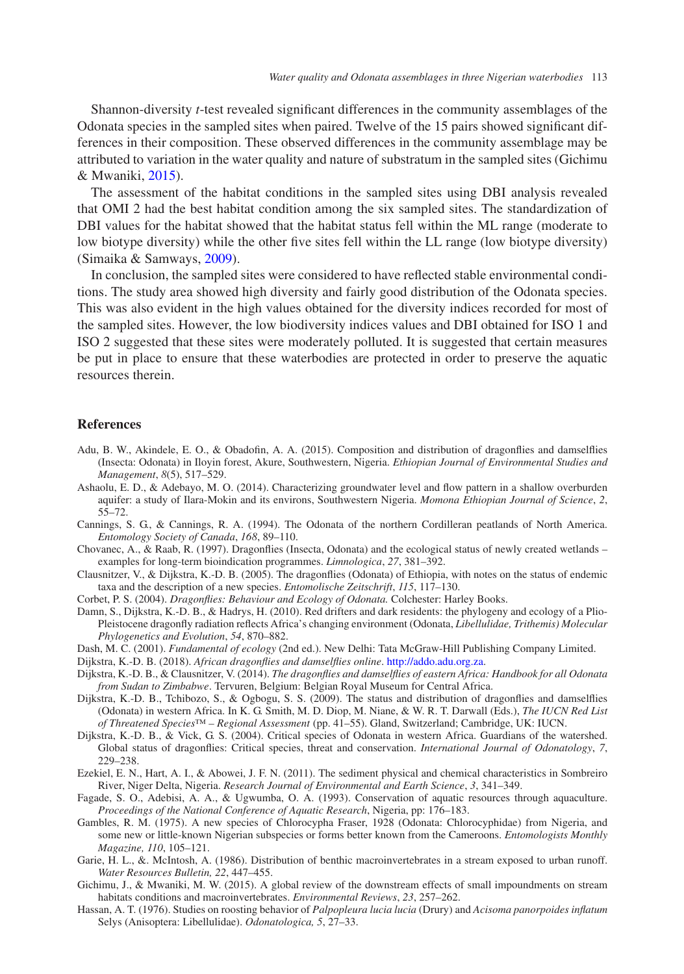Shannon-diversity *t*-test revealed significant differences in the community assemblages of the Odonata species in the sampled sites when paired. Twelve of the 15 pairs showed significant differences in their composition. These observed differences in the community assemblage may be attributed to variation in the water quality and nature of substratum in the sampled sites (Gichimu & Mwaniki, [2015\)](#page-12-17).

The assessment of the habitat conditions in the sampled sites using DBI analysis revealed that OMI 2 had the best habitat condition among the six sampled sites. The standardization of DBI values for the habitat showed that the habitat status fell within the ML range (moderate to low biotype diversity) while the other five sites fell within the LL range (low biotype diversity) (Simaika & Samways, [2009\)](#page-13-9).

In conclusion, the sampled sites were considered to have reflected stable environmental conditions. The study area showed high diversity and fairly good distribution of the Odonata species. This was also evident in the high values obtained for the diversity indices recorded for most of the sampled sites. However, the low biodiversity indices values and DBI obtained for ISO 1 and ISO 2 suggested that these sites were moderately polluted. It is suggested that certain measures be put in place to ensure that these waterbodies are protected in order to preserve the aquatic resources therein.

#### **References**

- <span id="page-12-4"></span>Adu, B. W., Akindele, E. O., & Obadofin, A. A. (2015). Composition and distribution of dragonflies and damselflies (Insecta: Odonata) in Iloyin forest, Akure, Southwestern, Nigeria. *Ethiopian Journal of Environmental Studies and Management*, *8*(5), 517–529.
- <span id="page-12-9"></span>Ashaolu, E. D., & Adebayo, M. O. (2014). Characterizing groundwater level and flow pattern in a shallow overburden aquifer: a study of Ilara-Mokin and its environs, Southwestern Nigeria. *Momona Ethiopian Journal of Science*, *2*, 55–72.
- <span id="page-12-14"></span>Cannings, S. G., & Cannings, R. A. (1994). The Odonata of the northern Cordilleran peatlands of North America. *Entomology Society of Canada*, *168*, 89–110.
- <span id="page-12-6"></span>Chovanec, A., & Raab, R. (1997). Dragonflies (Insecta, Odonata) and the ecological status of newly created wetlands – examples for long-term bioindication programmes. *Limnologica*, *27*, 381–392.
- <span id="page-12-3"></span>Clausnitzer, V., & Dijkstra, K.-D. B. (2005). The dragonflies (Odonata) of Ethiopia, with notes on the status of endemic taxa and the description of a new species. *Entomolische Zeitschrift*, *115*, 117–130.
- Corbet, P. S. (2004). *Dragonflies: Behaviour and Ecology of Odonata.* Colchester: Harley Books.
- <span id="page-12-5"></span><span id="page-12-0"></span>Damn, S., Dijkstra, K.-D. B., & Hadrys, H. (2010). Red drifters and dark residents: the phylogeny and ecology of a Plio-Pleistocene dragonfly radiation reflects Africa's changing environment (Odonata, *Libellulidae, Trithemis) Molecular Phylogenetics and Evolution*, *54*, 870–882.
- Dash, M. C. (2001). *Fundamental of ecology* (2nd ed.). New Delhi: Tata McGraw-Hill Publishing Company Limited.
- <span id="page-12-16"></span>Dijkstra, K.-D. B. (2018). *African dragonflies and damselflies online*. [http://addo.adu.org.za.](http://addo.adu.org.za)
- <span id="page-12-11"></span><span id="page-12-10"></span>Dijkstra, K.-D. B., & Clausnitzer, V. (2014). *The dragonflies and damselflies of eastern Africa: Handbook for all Odonata from Sudan to Zimbabwe*. Tervuren, Belgium: Belgian Royal Museum for Central Africa.
- <span id="page-12-12"></span>Dijkstra, K.-D. B., Tchibozo, S., & Ogbogu, S. S. (2009). The status and distribution of dragonflies and damselflies (Odonata) in western Africa. In K. G. Smith, M. D. Diop, M. Niane, & W. R. T. Darwall (Eds.), *The IUCN Red List of Threatened Species™ – Regional Assessment* (pp. 41–55). Gland, Switzerland; Cambridge, UK: IUCN.
- <span id="page-12-13"></span>Dijkstra, K.-D. B., & Vick, G. S. (2004). Critical species of Odonata in western Africa. Guardians of the watershed. Global status of dragonflies: Critical species, threat and conservation. *International Journal of Odonatology*, *7*, 229–238.
- <span id="page-12-15"></span>Ezekiel, E. N., Hart, A. I., & Abowei, J. F. N. (2011). The sediment physical and chemical characteristics in Sombreiro River, Niger Delta, Nigeria. *Research Journal of Environmental and Earth Science*, *3*, 341–349.
- <span id="page-12-1"></span>Fagade, S. O., Adebisi, A. A., & Ugwumba, O. A. (1993). Conservation of aquatic resources through aquaculture. *Proceedings of the National Conference of Aquatic Research*, Nigeria, pp: 176–183.
- <span id="page-12-7"></span>Gambles, R. M. (1975). A new species of Chlorocypha Fraser, 1928 (Odonata: Chlorocyphidae) from Nigeria, and some new or little-known Nigerian subspecies or forms better known from the Cameroons. *Entomologists Monthly Magazine, 110*, 105–121.
- <span id="page-12-2"></span>Garie, H. L., &. McIntosh, A. (1986). Distribution of benthic macroinvertebrates in a stream exposed to urban runoff. *Water Resources Bulletin, 22*, 447–455.
- <span id="page-12-17"></span>Gichimu, J., & Mwaniki, M. W. (2015). A global review of the downstream effects of small impoundments on stream habitats conditions and macroinvertebrates. *Environmental Reviews*, *23*, 257–262.
- <span id="page-12-8"></span>Hassan, A. T. (1976). Studies on roosting behavior of *Palpopleura lucia lucia* (Drury) and *Acisoma panorpoides inflatum* Selys (Anisoptera: Libellulidae). *Odonatologica, 5*, 27–33.